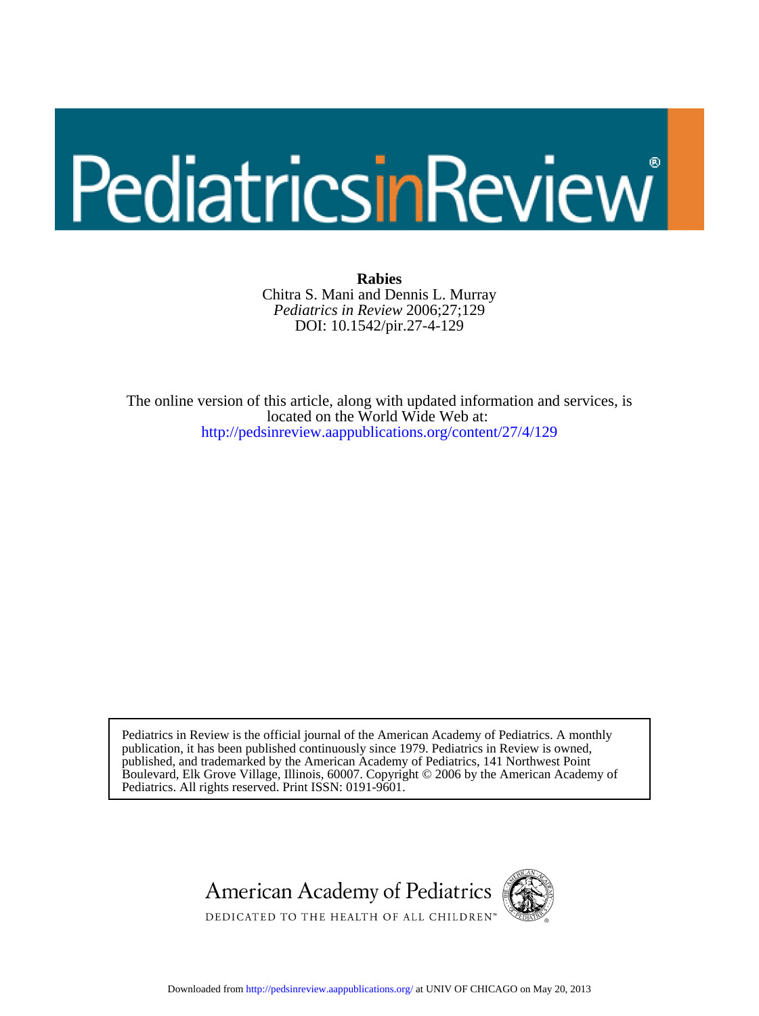# PediatricsinReview

DOI: 10.1542/pir.27-4-129 *Pediatrics in Review* 2006;27;129 Chitra S. Mani and Dennis L. Murray **Rabies**

<http://pedsinreview.aappublications.org/content/27/4/129> located on the World Wide Web at: The online version of this article, along with updated information and services, is

Pediatrics. All rights reserved. Print ISSN: 0191-9601. Boulevard, Elk Grove Village, Illinois, 60007. Copyright © 2006 by the American Academy of published, and trademarked by the American Academy of Pediatrics, 141 Northwest Point publication, it has been published continuously since 1979. Pediatrics in Review is owned, Pediatrics in Review is the official journal of the American Academy of Pediatrics. A monthly

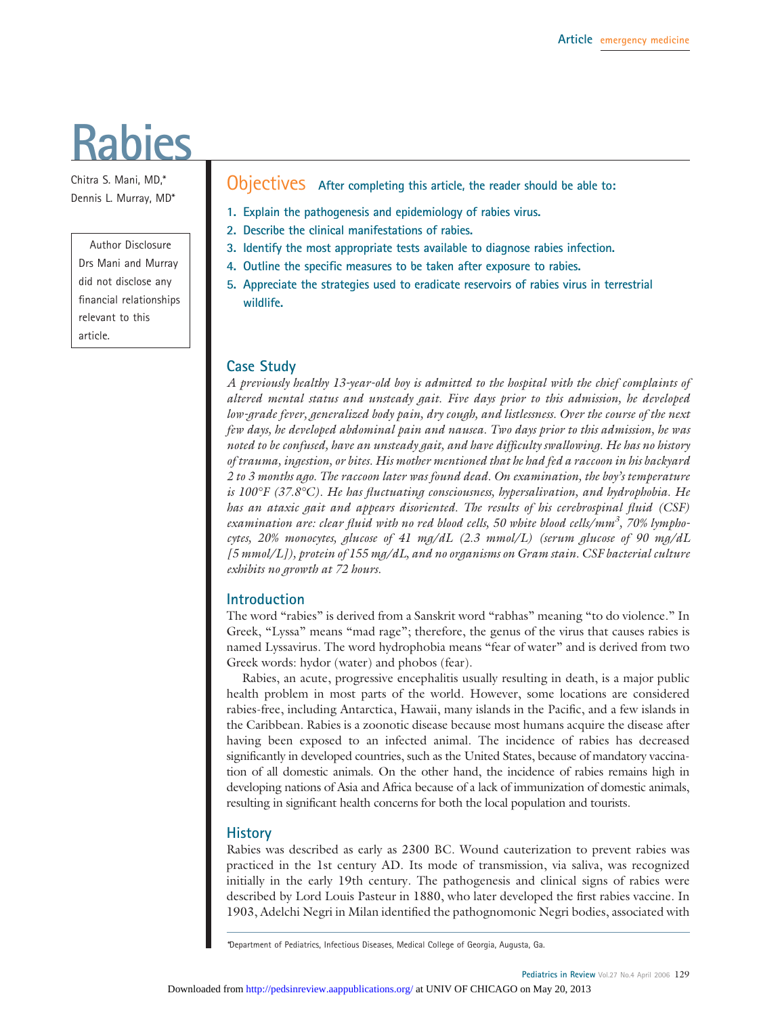# **Rabies**

Chitra S. Mani, MD,\* Dennis L. Murray, MD\*

# Author Disclosure Drs Mani and Murray did not disclose any financial relationships relevant to this article.

Objectives **After completing this article, the reader should be able to:**

- **1. Explain the pathogenesis and epidemiology of rabies virus.**
- **2. Describe the clinical manifestations of rabies.**
- **3. Identify the most appropriate tests available to diagnose rabies infection.**
- **4. Outline the specific measures to be taken after exposure to rabies.**
- **5. Appreciate the strategies used to eradicate reservoirs of rabies virus in terrestrial wildlife.**

#### **Case Study**

*A previously healthy 13-year-old boy is admitted to the hospital with the chief complaints of altered mental status and unsteady gait. Five days prior to this admission, he developed low-grade fever, generalized body pain, dry cough, and listlessness. Over the course of the next few days, he developed abdominal pain and nausea. Two days prior to this admission, he was noted to be confused, have an unsteady gait, and have difficulty swallowing. He has no history of trauma, ingestion, or bites. His mother mentioned that he had fed a raccoon in his backyard 2 to 3 months ago. The raccoon later was found dead. On examination, the boy's temperature is 100°F (37.8°C). He has fluctuating consciousness, hypersalivation, and hydrophobia. He has an ataxic gait and appears disoriented. The results of his cerebrospinal fluid (CSF) examination are: clear fluid with no red blood cells, 50 white blood cells/mm3 , 70% lymphocytes, 20% monocytes, glucose of 41 mg/dL (2.3 mmol/L) (serum glucose of 90 mg/dL [5 mmol/L]), protein of 155 mg/dL, and no organisms on Gram stain. CSF bacterial culture exhibits no growth at 72 hours.*

#### **Introduction**

The word "rabies" is derived from a Sanskrit word "rabhas" meaning "to do violence." In Greek, "Lyssa" means "mad rage"; therefore, the genus of the virus that causes rabies is named Lyssavirus. The word hydrophobia means "fear of water" and is derived from two Greek words: hydor (water) and phobos (fear).

Rabies, an acute, progressive encephalitis usually resulting in death, is a major public health problem in most parts of the world. However, some locations are considered rabies-free, including Antarctica, Hawaii, many islands in the Pacific, and a few islands in the Caribbean. Rabies is a zoonotic disease because most humans acquire the disease after having been exposed to an infected animal. The incidence of rabies has decreased significantly in developed countries, such as the United States, because of mandatory vaccination of all domestic animals. On the other hand, the incidence of rabies remains high in developing nations of Asia and Africa because of a lack of immunization of domestic animals, resulting in significant health concerns for both the local population and tourists.

#### **History**

Rabies was described as early as 2300 BC. Wound cauterization to prevent rabies was practiced in the 1st century AD. Its mode of transmission, via saliva, was recognized initially in the early 19th century. The pathogenesis and clinical signs of rabies were described by Lord Louis Pasteur in 1880, who later developed the first rabies vaccine. In 1903, Adelchi Negri in Milan identified the pathognomonic Negri bodies, associated with

*<sup>\*</sup>*Department of Pediatrics, Infectious Diseases, Medical College of Georgia, Augusta, Ga.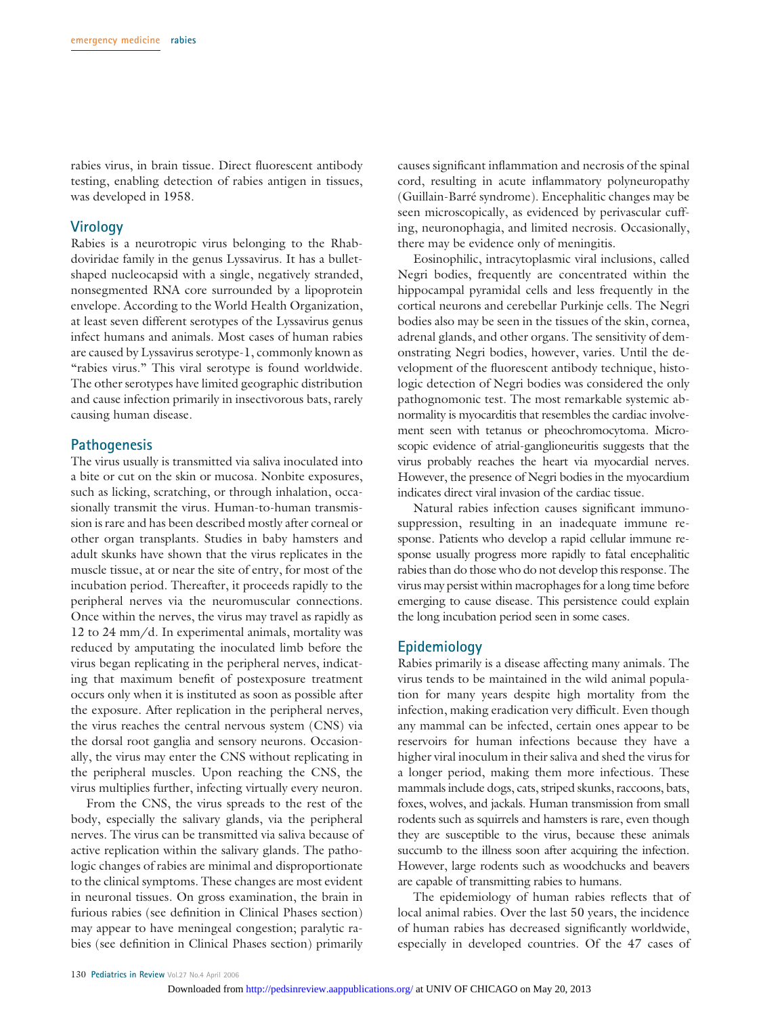rabies virus, in brain tissue. Direct fluorescent antibody testing, enabling detection of rabies antigen in tissues, was developed in 1958.

#### **Virology**

Rabies is a neurotropic virus belonging to the Rhabdoviridae family in the genus Lyssavirus. It has a bulletshaped nucleocapsid with a single, negatively stranded, nonsegmented RNA core surrounded by a lipoprotein envelope. According to the World Health Organization, at least seven different serotypes of the Lyssavirus genus infect humans and animals. Most cases of human rabies are caused by Lyssavirus serotype-1, commonly known as "rabies virus." This viral serotype is found worldwide. The other serotypes have limited geographic distribution and cause infection primarily in insectivorous bats, rarely causing human disease.

#### **Pathogenesis**

The virus usually is transmitted via saliva inoculated into a bite or cut on the skin or mucosa. Nonbite exposures, such as licking, scratching, or through inhalation, occasionally transmit the virus. Human-to-human transmission is rare and has been described mostly after corneal or other organ transplants. Studies in baby hamsters and adult skunks have shown that the virus replicates in the muscle tissue, at or near the site of entry, for most of the incubation period. Thereafter, it proceeds rapidly to the peripheral nerves via the neuromuscular connections. Once within the nerves, the virus may travel as rapidly as 12 to 24 mm/d. In experimental animals, mortality was reduced by amputating the inoculated limb before the virus began replicating in the peripheral nerves, indicating that maximum benefit of postexposure treatment occurs only when it is instituted as soon as possible after the exposure. After replication in the peripheral nerves, the virus reaches the central nervous system (CNS) via the dorsal root ganglia and sensory neurons. Occasionally, the virus may enter the CNS without replicating in the peripheral muscles. Upon reaching the CNS, the virus multiplies further, infecting virtually every neuron.

From the CNS, the virus spreads to the rest of the body, especially the salivary glands, via the peripheral nerves. The virus can be transmitted via saliva because of active replication within the salivary glands. The pathologic changes of rabies are minimal and disproportionate to the clinical symptoms. These changes are most evident in neuronal tissues. On gross examination, the brain in furious rabies (see definition in Clinical Phases section) may appear to have meningeal congestion; paralytic rabies (see definition in Clinical Phases section) primarily

causes significant inflammation and necrosis of the spinal cord, resulting in acute inflammatory polyneuropathy (Guillain-Barré syndrome). Encephalitic changes may be seen microscopically, as evidenced by perivascular cuffing, neuronophagia, and limited necrosis. Occasionally, there may be evidence only of meningitis.

Eosinophilic, intracytoplasmic viral inclusions, called Negri bodies, frequently are concentrated within the hippocampal pyramidal cells and less frequently in the cortical neurons and cerebellar Purkinje cells. The Negri bodies also may be seen in the tissues of the skin, cornea, adrenal glands, and other organs. The sensitivity of demonstrating Negri bodies, however, varies. Until the development of the fluorescent antibody technique, histologic detection of Negri bodies was considered the only pathognomonic test. The most remarkable systemic abnormality is myocarditis that resembles the cardiac involvement seen with tetanus or pheochromocytoma. Microscopic evidence of atrial-ganglioneuritis suggests that the virus probably reaches the heart via myocardial nerves. However, the presence of Negri bodies in the myocardium indicates direct viral invasion of the cardiac tissue.

Natural rabies infection causes significant immunosuppression, resulting in an inadequate immune response. Patients who develop a rapid cellular immune response usually progress more rapidly to fatal encephalitic rabies than do those who do not develop this response. The virus may persist within macrophages for a long time before emerging to cause disease. This persistence could explain the long incubation period seen in some cases.

#### **Epidemiology**

Rabies primarily is a disease affecting many animals. The virus tends to be maintained in the wild animal population for many years despite high mortality from the infection, making eradication very difficult. Even though any mammal can be infected, certain ones appear to be reservoirs for human infections because they have a higher viral inoculum in their saliva and shed the virus for a longer period, making them more infectious. These mammals include dogs, cats, striped skunks, raccoons, bats, foxes, wolves, and jackals. Human transmission from small rodents such as squirrels and hamsters is rare, even though they are susceptible to the virus, because these animals succumb to the illness soon after acquiring the infection. However, large rodents such as woodchucks and beavers are capable of transmitting rabies to humans.

The epidemiology of human rabies reflects that of local animal rabies. Over the last 50 years, the incidence of human rabies has decreased significantly worldwide, especially in developed countries. Of the 47 cases of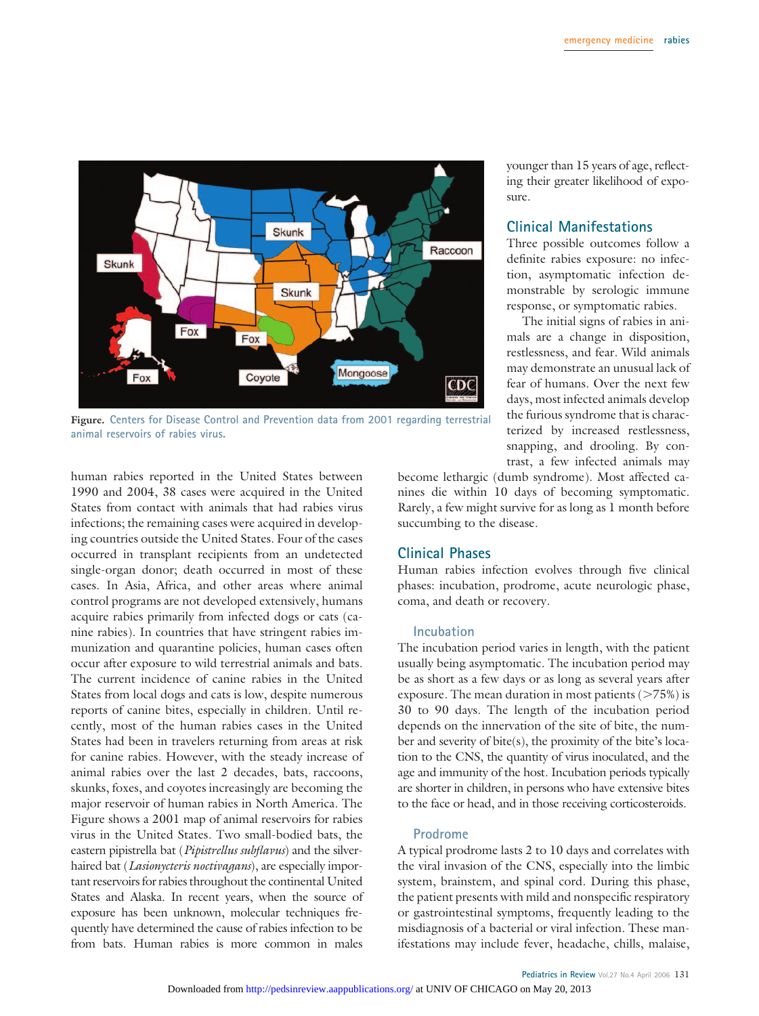

**Figure. Centers for Disease Control and Prevention data from 2001 regarding terrestrial animal reservoirs of rabies virus.**

human rabies reported in the United States between 1990 and 2004, 38 cases were acquired in the United States from contact with animals that had rabies virus infections; the remaining cases were acquired in developing countries outside the United States. Four of the cases occurred in transplant recipients from an undetected single-organ donor; death occurred in most of these cases. In Asia, Africa, and other areas where animal control programs are not developed extensively, humans acquire rabies primarily from infected dogs or cats (canine rabies). In countries that have stringent rabies immunization and quarantine policies, human cases often occur after exposure to wild terrestrial animals and bats. The current incidence of canine rabies in the United States from local dogs and cats is low, despite numerous reports of canine bites, especially in children. Until recently, most of the human rabies cases in the United States had been in travelers returning from areas at risk for canine rabies. However, with the steady increase of animal rabies over the last 2 decades, bats, raccoons, skunks, foxes, and coyotes increasingly are becoming the major reservoir of human rabies in North America. The Figure shows a 2001 map of animal reservoirs for rabies virus in the United States. Two small-bodied bats, the eastern pipistrella bat (*Pipistrellus subflavus*) and the silverhaired bat (*Lasionycteris noctivagans*), are especially important reservoirs for rabies throughout the continental United States and Alaska. In recent years, when the source of exposure has been unknown, molecular techniques frequently have determined the cause of rabies infection to be from bats. Human rabies is more common in males

younger than 15 years of age, reflecting their greater likelihood of exposure.

# **Clinical Manifestations**

Three possible outcomes follow a definite rabies exposure: no infection, asymptomatic infection demonstrable by serologic immune response, or symptomatic rabies.

The initial signs of rabies in animals are a change in disposition, restlessness, and fear. Wild animals may demonstrate an unusual lack of fear of humans. Over the next few days, most infected animals develop the furious syndrome that is characterized by increased restlessness, snapping, and drooling. By contrast, a few infected animals may

become lethargic (dumb syndrome). Most affected canines die within 10 days of becoming symptomatic. Rarely, a few might survive for as long as 1 month before succumbing to the disease.

## **Clinical Phases**

Human rabies infection evolves through five clinical phases: incubation, prodrome, acute neurologic phase, coma, and death or recovery.

#### **Incubation**

The incubation period varies in length, with the patient usually being asymptomatic. The incubation period may be as short as a few days or as long as several years after exposure. The mean duration in most patients  $(>\!\!75\%)$  is 30 to 90 days. The length of the incubation period depends on the innervation of the site of bite, the number and severity of bite(s), the proximity of the bite's location to the CNS, the quantity of virus inoculated, and the age and immunity of the host. Incubation periods typically are shorter in children, in persons who have extensive bites to the face or head, and in those receiving corticosteroids.

#### **Prodrome**

A typical prodrome lasts 2 to 10 days and correlates with the viral invasion of the CNS, especially into the limbic system, brainstem, and spinal cord. During this phase, the patient presents with mild and nonspecific respiratory or gastrointestinal symptoms, frequently leading to the misdiagnosis of a bacterial or viral infection. These manifestations may include fever, headache, chills, malaise,

Pediatrics in Review Vol.27 No.4 April 2006 131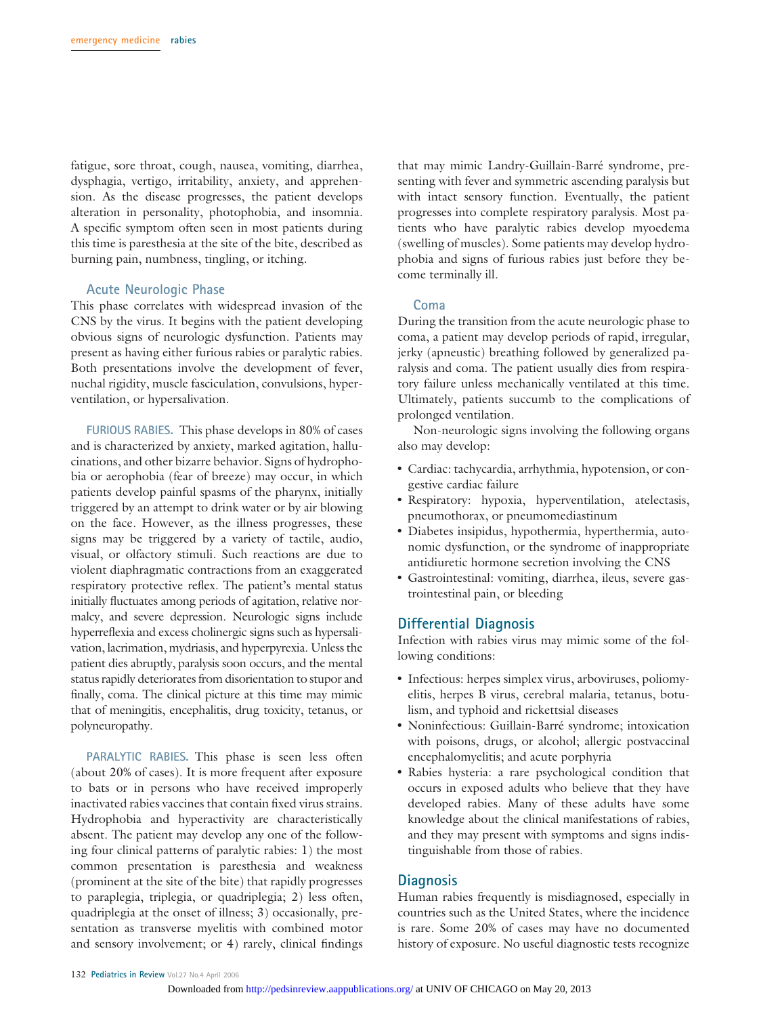fatigue, sore throat, cough, nausea, vomiting, diarrhea, dysphagia, vertigo, irritability, anxiety, and apprehension. As the disease progresses, the patient develops alteration in personality, photophobia, and insomnia. A specific symptom often seen in most patients during this time is paresthesia at the site of the bite, described as burning pain, numbness, tingling, or itching.

#### **Acute Neurologic Phase**

This phase correlates with widespread invasion of the CNS by the virus. It begins with the patient developing obvious signs of neurologic dysfunction. Patients may present as having either furious rabies or paralytic rabies. Both presentations involve the development of fever, nuchal rigidity, muscle fasciculation, convulsions, hyperventilation, or hypersalivation.

**FURIOUS RABIES.** This phase develops in 80% of cases and is characterized by anxiety, marked agitation, hallucinations, and other bizarre behavior. Signs of hydrophobia or aerophobia (fear of breeze) may occur, in which patients develop painful spasms of the pharynx, initially triggered by an attempt to drink water or by air blowing on the face. However, as the illness progresses, these signs may be triggered by a variety of tactile, audio, visual, or olfactory stimuli. Such reactions are due to violent diaphragmatic contractions from an exaggerated respiratory protective reflex. The patient's mental status initially fluctuates among periods of agitation, relative normalcy, and severe depression. Neurologic signs include hyperreflexia and excess cholinergic signs such as hypersalivation, lacrimation, mydriasis, and hyperpyrexia. Unless the patient dies abruptly, paralysis soon occurs, and the mental status rapidly deteriorates from disorientation to stupor and finally, coma. The clinical picture at this time may mimic that of meningitis, encephalitis, drug toxicity, tetanus, or polyneuropathy.

**PARALYTIC RABIES.** This phase is seen less often (about 20% of cases). It is more frequent after exposure to bats or in persons who have received improperly inactivated rabies vaccines that contain fixed virus strains. Hydrophobia and hyperactivity are characteristically absent. The patient may develop any one of the following four clinical patterns of paralytic rabies: 1) the most common presentation is paresthesia and weakness (prominent at the site of the bite) that rapidly progresses to paraplegia, triplegia, or quadriplegia; 2) less often, quadriplegia at the onset of illness; 3) occasionally, presentation as transverse myelitis with combined motor and sensory involvement; or 4) rarely, clinical findings that may mimic Landry-Guillain-Barré syndrome, presenting with fever and symmetric ascending paralysis but with intact sensory function. Eventually, the patient progresses into complete respiratory paralysis. Most patients who have paralytic rabies develop myoedema (swelling of muscles). Some patients may develop hydrophobia and signs of furious rabies just before they become terminally ill.

#### **Coma**

During the transition from the acute neurologic phase to coma, a patient may develop periods of rapid, irregular, jerky (apneustic) breathing followed by generalized paralysis and coma. The patient usually dies from respiratory failure unless mechanically ventilated at this time. Ultimately, patients succumb to the complications of prolonged ventilation.

Non-neurologic signs involving the following organs also may develop:

- Cardiac: tachycardia, arrhythmia, hypotension, or congestive cardiac failure
- Respiratory: hypoxia, hyperventilation, atelectasis, pneumothorax, or pneumomediastinum
- Diabetes insipidus, hypothermia, hyperthermia, autonomic dysfunction, or the syndrome of inappropriate antidiuretic hormone secretion involving the CNS
- Gastrointestinal: vomiting, diarrhea, ileus, severe gastrointestinal pain, or bleeding

#### **Differential Diagnosis**

Infection with rabies virus may mimic some of the following conditions:

- Infectious: herpes simplex virus, arboviruses, poliomyelitis, herpes B virus, cerebral malaria, tetanus, botulism, and typhoid and rickettsial diseases
- Noninfectious: Guillain-Barré syndrome; intoxication with poisons, drugs, or alcohol; allergic postvaccinal encephalomyelitis; and acute porphyria
- Rabies hysteria: a rare psychological condition that occurs in exposed adults who believe that they have developed rabies. Many of these adults have some knowledge about the clinical manifestations of rabies, and they may present with symptoms and signs indistinguishable from those of rabies.

#### **Diagnosis**

Human rabies frequently is misdiagnosed, especially in countries such as the United States, where the incidence is rare. Some 20% of cases may have no documented history of exposure. No useful diagnostic tests recognize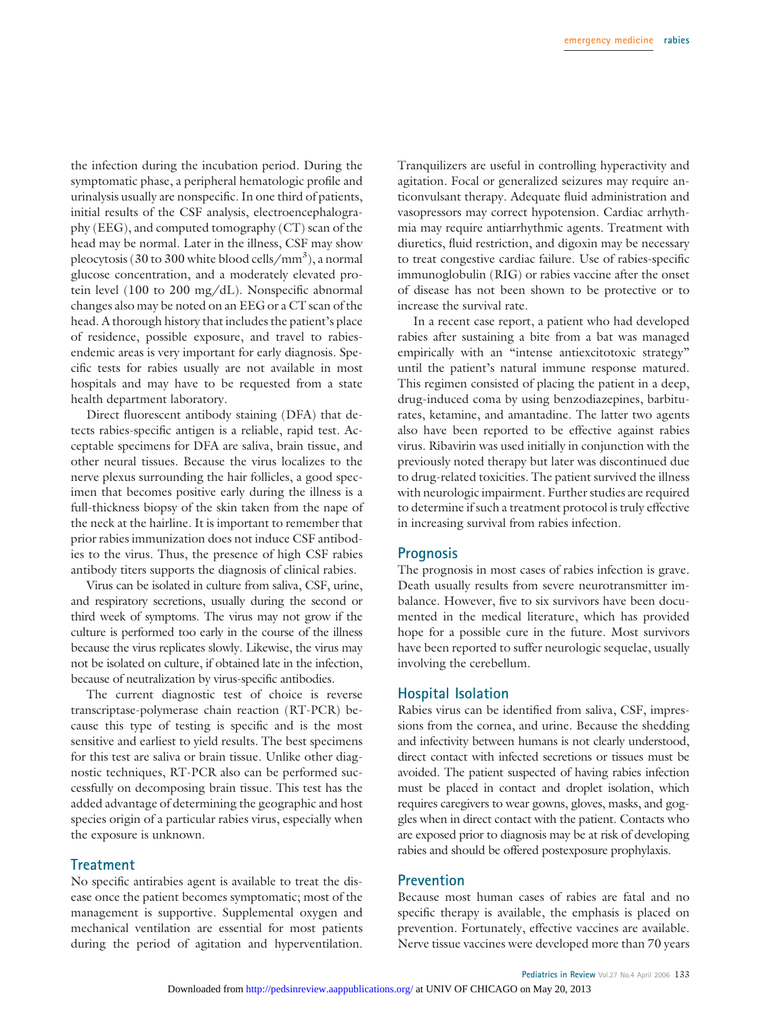the infection during the incubation period. During the symptomatic phase, a peripheral hematologic profile and urinalysis usually are nonspecific. In one third of patients, initial results of the CSF analysis, electroencephalography (EEG), and computed tomography (CT) scan of the head may be normal. Later in the illness, CSF may show pleocytosis (30 to 300 white blood cells/mm<sup>3</sup>), a normal glucose concentration, and a moderately elevated protein level (100 to 200 mg/dL). Nonspecific abnormal changes also may be noted on an EEG or a CT scan of the head. A thorough history that includes the patient's place of residence, possible exposure, and travel to rabiesendemic areas is very important for early diagnosis. Specific tests for rabies usually are not available in most hospitals and may have to be requested from a state health department laboratory.

Direct fluorescent antibody staining (DFA) that detects rabies-specific antigen is a reliable, rapid test. Acceptable specimens for DFA are saliva, brain tissue, and other neural tissues. Because the virus localizes to the nerve plexus surrounding the hair follicles, a good specimen that becomes positive early during the illness is a full-thickness biopsy of the skin taken from the nape of the neck at the hairline. It is important to remember that prior rabies immunization does not induce CSF antibodies to the virus. Thus, the presence of high CSF rabies antibody titers supports the diagnosis of clinical rabies.

Virus can be isolated in culture from saliva, CSF, urine, and respiratory secretions, usually during the second or third week of symptoms. The virus may not grow if the culture is performed too early in the course of the illness because the virus replicates slowly. Likewise, the virus may not be isolated on culture, if obtained late in the infection, because of neutralization by virus-specific antibodies.

The current diagnostic test of choice is reverse transcriptase-polymerase chain reaction (RT-PCR) because this type of testing is specific and is the most sensitive and earliest to yield results. The best specimens for this test are saliva or brain tissue. Unlike other diagnostic techniques, RT-PCR also can be performed successfully on decomposing brain tissue. This test has the added advantage of determining the geographic and host species origin of a particular rabies virus, especially when the exposure is unknown.

# **Treatment**

No specific antirabies agent is available to treat the disease once the patient becomes symptomatic; most of the management is supportive. Supplemental oxygen and mechanical ventilation are essential for most patients during the period of agitation and hyperventilation.

Tranquilizers are useful in controlling hyperactivity and agitation. Focal or generalized seizures may require anticonvulsant therapy. Adequate fluid administration and vasopressors may correct hypotension. Cardiac arrhythmia may require antiarrhythmic agents. Treatment with diuretics, fluid restriction, and digoxin may be necessary to treat congestive cardiac failure. Use of rabies-specific immunoglobulin (RIG) or rabies vaccine after the onset of disease has not been shown to be protective or to increase the survival rate.

In a recent case report, a patient who had developed rabies after sustaining a bite from a bat was managed empirically with an "intense antiexcitotoxic strategy" until the patient's natural immune response matured. This regimen consisted of placing the patient in a deep, drug-induced coma by using benzodiazepines, barbiturates, ketamine, and amantadine. The latter two agents also have been reported to be effective against rabies virus. Ribavirin was used initially in conjunction with the previously noted therapy but later was discontinued due to drug-related toxicities. The patient survived the illness with neurologic impairment. Further studies are required to determine if such a treatment protocol is truly effective in increasing survival from rabies infection.

#### **Prognosis**

The prognosis in most cases of rabies infection is grave. Death usually results from severe neurotransmitter imbalance. However, five to six survivors have been documented in the medical literature, which has provided hope for a possible cure in the future. Most survivors have been reported to suffer neurologic sequelae, usually involving the cerebellum.

#### **Hospital Isolation**

Rabies virus can be identified from saliva, CSF, impressions from the cornea, and urine. Because the shedding and infectivity between humans is not clearly understood, direct contact with infected secretions or tissues must be avoided. The patient suspected of having rabies infection must be placed in contact and droplet isolation, which requires caregivers to wear gowns, gloves, masks, and goggles when in direct contact with the patient. Contacts who are exposed prior to diagnosis may be at risk of developing rabies and should be offered postexposure prophylaxis.

#### **Prevention**

Because most human cases of rabies are fatal and no specific therapy is available, the emphasis is placed on prevention. Fortunately, effective vaccines are available. Nerve tissue vaccines were developed more than 70 years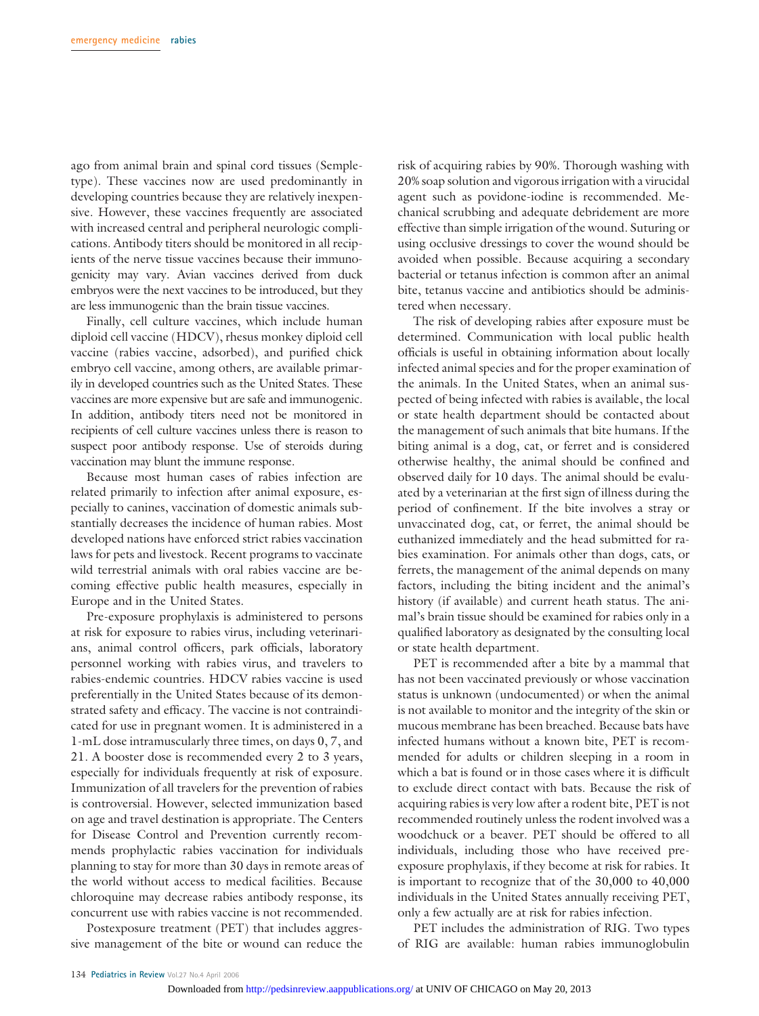ago from animal brain and spinal cord tissues (Sempletype). These vaccines now are used predominantly in developing countries because they are relatively inexpensive. However, these vaccines frequently are associated with increased central and peripheral neurologic complications. Antibody titers should be monitored in all recipients of the nerve tissue vaccines because their immunogenicity may vary. Avian vaccines derived from duck embryos were the next vaccines to be introduced, but they are less immunogenic than the brain tissue vaccines.

Finally, cell culture vaccines, which include human diploid cell vaccine (HDCV), rhesus monkey diploid cell vaccine (rabies vaccine, adsorbed), and purified chick embryo cell vaccine, among others, are available primarily in developed countries such as the United States. These vaccines are more expensive but are safe and immunogenic. In addition, antibody titers need not be monitored in recipients of cell culture vaccines unless there is reason to suspect poor antibody response. Use of steroids during vaccination may blunt the immune response.

Because most human cases of rabies infection are related primarily to infection after animal exposure, especially to canines, vaccination of domestic animals substantially decreases the incidence of human rabies. Most developed nations have enforced strict rabies vaccination laws for pets and livestock. Recent programs to vaccinate wild terrestrial animals with oral rabies vaccine are becoming effective public health measures, especially in Europe and in the United States.

Pre-exposure prophylaxis is administered to persons at risk for exposure to rabies virus, including veterinarians, animal control officers, park officials, laboratory personnel working with rabies virus, and travelers to rabies-endemic countries. HDCV rabies vaccine is used preferentially in the United States because of its demonstrated safety and efficacy. The vaccine is not contraindicated for use in pregnant women. It is administered in a 1-mL dose intramuscularly three times, on days 0, 7, and 21. A booster dose is recommended every 2 to 3 years, especially for individuals frequently at risk of exposure. Immunization of all travelers for the prevention of rabies is controversial. However, selected immunization based on age and travel destination is appropriate. The Centers for Disease Control and Prevention currently recommends prophylactic rabies vaccination for individuals planning to stay for more than 30 days in remote areas of the world without access to medical facilities. Because chloroquine may decrease rabies antibody response, its concurrent use with rabies vaccine is not recommended.

Postexposure treatment (PET) that includes aggressive management of the bite or wound can reduce the risk of acquiring rabies by 90%. Thorough washing with 20% soap solution and vigorous irrigation with a virucidal agent such as povidone-iodine is recommended. Mechanical scrubbing and adequate debridement are more effective than simple irrigation of the wound. Suturing or using occlusive dressings to cover the wound should be avoided when possible. Because acquiring a secondary bacterial or tetanus infection is common after an animal bite, tetanus vaccine and antibiotics should be administered when necessary.

The risk of developing rabies after exposure must be determined. Communication with local public health officials is useful in obtaining information about locally infected animal species and for the proper examination of the animals. In the United States, when an animal suspected of being infected with rabies is available, the local or state health department should be contacted about the management of such animals that bite humans. If the biting animal is a dog, cat, or ferret and is considered otherwise healthy, the animal should be confined and observed daily for 10 days. The animal should be evaluated by a veterinarian at the first sign of illness during the period of confinement. If the bite involves a stray or unvaccinated dog, cat, or ferret, the animal should be euthanized immediately and the head submitted for rabies examination. For animals other than dogs, cats, or ferrets, the management of the animal depends on many factors, including the biting incident and the animal's history (if available) and current heath status. The animal's brain tissue should be examined for rabies only in a qualified laboratory as designated by the consulting local or state health department.

PET is recommended after a bite by a mammal that has not been vaccinated previously or whose vaccination status is unknown (undocumented) or when the animal is not available to monitor and the integrity of the skin or mucous membrane has been breached. Because bats have infected humans without a known bite, PET is recommended for adults or children sleeping in a room in which a bat is found or in those cases where it is difficult to exclude direct contact with bats. Because the risk of acquiring rabies is very low after a rodent bite, PET is not recommended routinely unless the rodent involved was a woodchuck or a beaver. PET should be offered to all individuals, including those who have received preexposure prophylaxis, if they become at risk for rabies. It is important to recognize that of the 30,000 to 40,000 individuals in the United States annually receiving PET, only a few actually are at risk for rabies infection.

PET includes the administration of RIG. Two types of RIG are available: human rabies immunoglobulin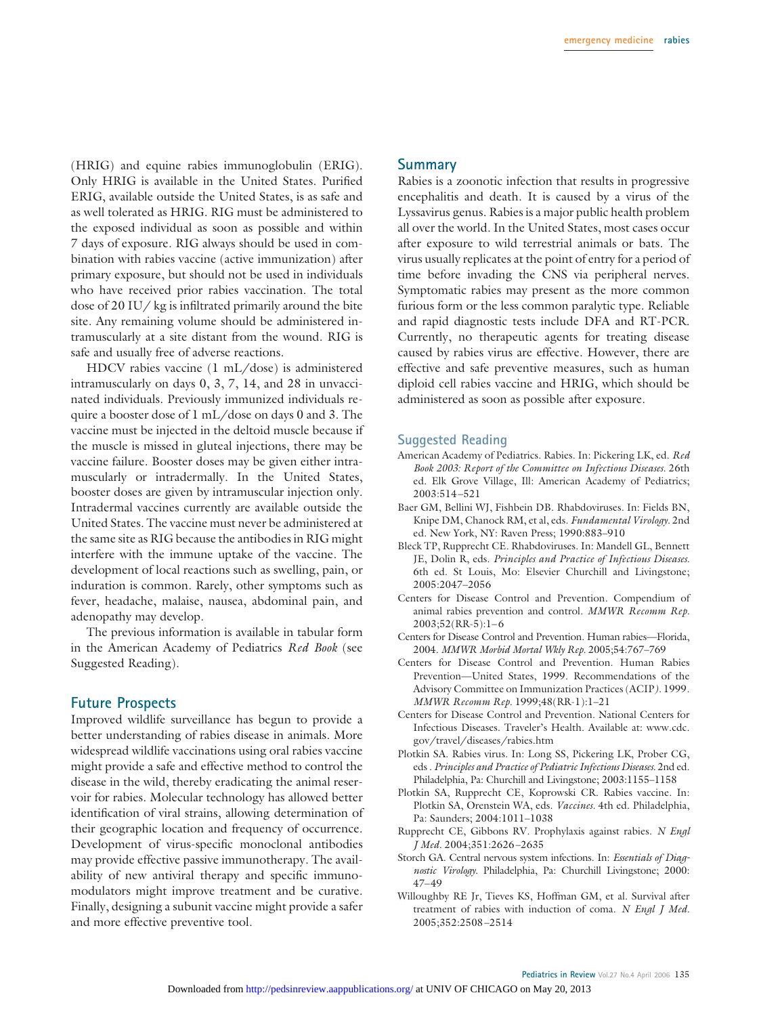(HRIG) and equine rabies immunoglobulin (ERIG). Only HRIG is available in the United States. Purified ERIG, available outside the United States, is as safe and as well tolerated as HRIG. RIG must be administered to the exposed individual as soon as possible and within 7 days of exposure. RIG always should be used in combination with rabies vaccine (active immunization) after primary exposure, but should not be used in individuals who have received prior rabies vaccination. The total dose of 20 IU/ kg is infiltrated primarily around the bite site. Any remaining volume should be administered intramuscularly at a site distant from the wound. RIG is safe and usually free of adverse reactions.

HDCV rabies vaccine (1 mL/dose) is administered intramuscularly on days 0, 3, 7, 14, and 28 in unvaccinated individuals. Previously immunized individuals require a booster dose of 1 mL/dose on days 0 and 3. The vaccine must be injected in the deltoid muscle because if the muscle is missed in gluteal injections, there may be vaccine failure. Booster doses may be given either intramuscularly or intradermally. In the United States, booster doses are given by intramuscular injection only. Intradermal vaccines currently are available outside the United States. The vaccine must never be administered at the same site as RIG because the antibodies in RIG might interfere with the immune uptake of the vaccine. The development of local reactions such as swelling, pain, or induration is common. Rarely, other symptoms such as fever, headache, malaise, nausea, abdominal pain, and adenopathy may develop.

The previous information is available in tabular form in the American Academy of Pediatrics *Red Book* (see Suggested Reading).

#### **Future Prospects**

Improved wildlife surveillance has begun to provide a better understanding of rabies disease in animals. More widespread wildlife vaccinations using oral rabies vaccine might provide a safe and effective method to control the disease in the wild, thereby eradicating the animal reservoir for rabies. Molecular technology has allowed better identification of viral strains, allowing determination of their geographic location and frequency of occurrence. Development of virus-specific monoclonal antibodies may provide effective passive immunotherapy. The availability of new antiviral therapy and specific immunomodulators might improve treatment and be curative. Finally, designing a subunit vaccine might provide a safer and more effective preventive tool.

#### **Summary**

Rabies is a zoonotic infection that results in progressive encephalitis and death. It is caused by a virus of the Lyssavirus genus. Rabies is a major public health problem all over the world. In the United States, most cases occur after exposure to wild terrestrial animals or bats. The virus usually replicates at the point of entry for a period of time before invading the CNS via peripheral nerves. Symptomatic rabies may present as the more common furious form or the less common paralytic type. Reliable and rapid diagnostic tests include DFA and RT-PCR. Currently, no therapeutic agents for treating disease caused by rabies virus are effective. However, there are effective and safe preventive measures, such as human diploid cell rabies vaccine and HRIG, which should be administered as soon as possible after exposure.

#### **Suggested Reading**

- American Academy of Pediatrics. Rabies. In: Pickering LK, ed. *Red Book 2003: Report of the Committee on Infectious Diseases.* 26th ed. Elk Grove Village, Ill: American Academy of Pediatrics; 2003:514–521
- Baer GM, Bellini WJ, Fishbein DB. Rhabdoviruses*.* In: Fields BN, Knipe DM, Chanock RM, et al, eds. *Fundamental Virology.* 2nd ed. New York, NY: Raven Press; 1990:883–910
- Bleck TP, Rupprecht CE. Rhabdoviruses. In: Mandell GL, Bennett JE, Dolin R, eds. *Principles and Practice of Infectious Diseases.* 6th ed. St Louis, Mo: Elsevier Churchill and Livingstone; 2005:2047–2056
- Centers for Disease Control and Prevention. Compendium of animal rabies prevention and control. *MMWR Recomm Rep.* 2003;52(RR-5):1–6
- Centers for Disease Control and Prevention. Human rabies—Florida, 2004. *MMWR Morbid Mortal Wkly Rep.* 2005;54:767–769
- Centers for Disease Control and Prevention. Human Rabies Prevention—United States, 1999. Recommendations of the Advisory Committee on Immunization Practices (ACIP*).* 1999. *MMWR Recomm Rep.* 1999;48(RR-1):1–21
- Centers for Disease Control and Prevention. National Centers for Infectious Diseases. Traveler's Health. Available at: www.cdc. gov/travel/diseases/rabies.htm
- Plotkin SA. Rabies virus. In: Long SS, Pickering LK, Prober CG, eds . *Principles and Practice of Pediatric Infectious Diseases.* 2nd ed. Philadelphia, Pa: Churchill and Livingstone; 2003:1155–1158
- Plotkin SA, Rupprecht CE, Koprowski CR. Rabies vaccine. In: Plotkin SA, Orenstein WA, eds. *Vaccines.* 4th ed. Philadelphia, Pa: Saunders; 2004:1011–1038
- Rupprecht CE, Gibbons RV. Prophylaxis against rabies. *N Engl J Med.* 2004;351:2626–2635
- Storch GA. Central nervous system infections. In: *Essentials of Diagnostic Virology.* Philadelphia, Pa: Churchill Livingstone; 2000: 47–49
- Willoughby RE Jr, Tieves KS, Hoffman GM, et al. Survival after treatment of rabies with induction of coma. *N Engl J Med.* 2005;352:2508–2514

**Pediatrics in Review** Vol.27 No.4 April 2006 135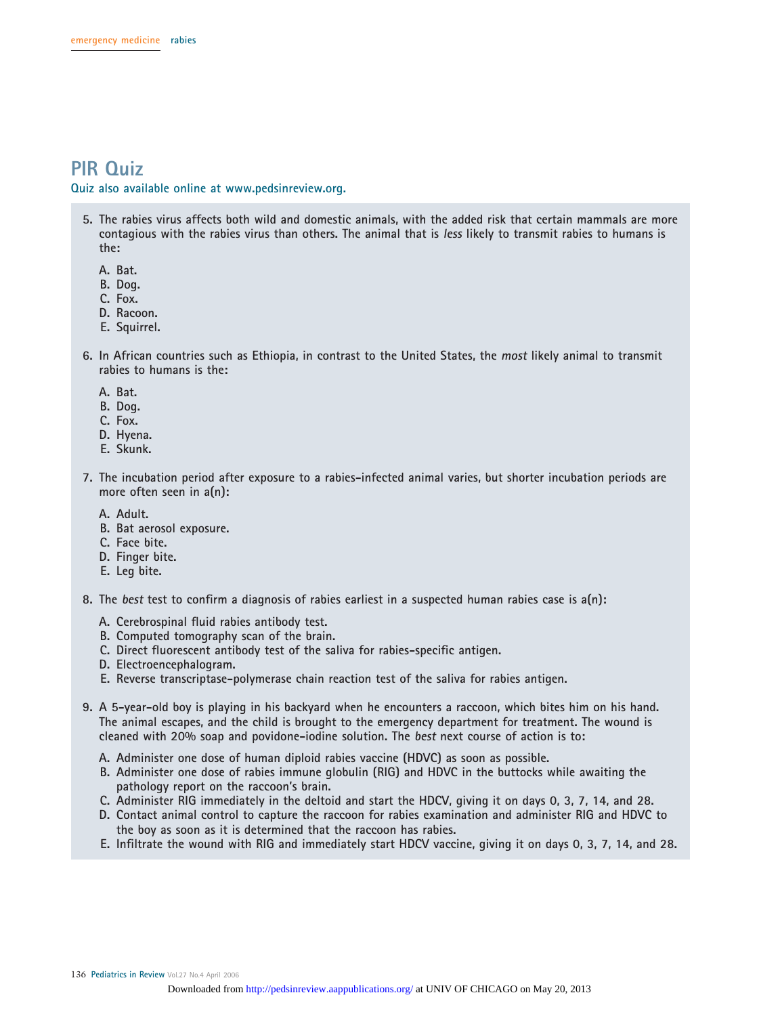# **PIR Quiz**

**Quiz also available online at www.pedsinreview.org.**

- **5. The rabies virus affects both wild and domestic animals, with the added risk that certain mammals are more contagious with the rabies virus than others. The animal that is less likely to transmit rabies to humans is the:**
	- **A. Bat.**
	- **B. Dog.**
	- **C. Fox.**
	- **D. Racoon.**
	- **E. Squirrel.**
- **6. In African countries such as Ethiopia, in contrast to the United States, the most likely animal to transmit rabies to humans is the:**
	- **A. Bat.**
	- **B. Dog.**
	- **C. Fox.**
	- **D. Hyena.**
	- **E. Skunk.**
- **7. The incubation period after exposure to a rabies-infected animal varies, but shorter incubation periods are more often seen in a(n):**
	- **A. Adult.**
	- **B. Bat aerosol exposure.**
	- **C. Face bite.**
	- **D. Finger bite.**
	- **E. Leg bite.**
- **8. The best test to confirm a diagnosis of rabies earliest in a suspected human rabies case is a(n):**
	- **A. Cerebrospinal fluid rabies antibody test.**
	- **B. Computed tomography scan of the brain.**
	- **C. Direct fluorescent antibody test of the saliva for rabies-specific antigen.**
	- **D. Electroencephalogram.**
	- **E. Reverse transcriptase-polymerase chain reaction test of the saliva for rabies antigen.**
- **9. A 5-year-old boy is playing in his backyard when he encounters a raccoon, which bites him on his hand. The animal escapes, and the child is brought to the emergency department for treatment. The wound is cleaned with 20% soap and povidone-iodine solution. The best next course of action is to:**
	- **A. Administer one dose of human diploid rabies vaccine (HDVC) as soon as possible.**
	- **B. Administer one dose of rabies immune globulin (RIG) and HDVC in the buttocks while awaiting the pathology report on the raccoon's brain.**
	- **C. Administer RIG immediately in the deltoid and start the HDCV, giving it on days 0, 3, 7, 14, and 28.**
	- **D. Contact animal control to capture the raccoon for rabies examination and administer RIG and HDVC to the boy as soon as it is determined that the raccoon has rabies.**
	- **E. Infiltrate the wound with RIG and immediately start HDCV vaccine, giving it on days 0, 3, 7, 14, and 28.**